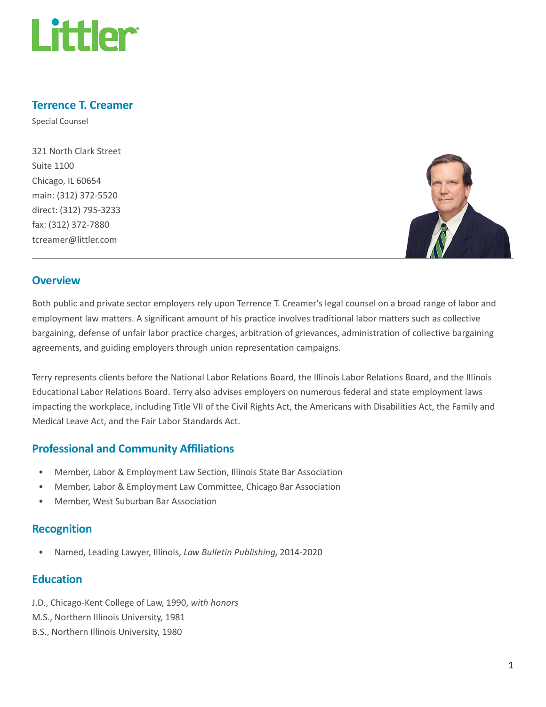

### Terrence T. Creamer

Special Counsel

321 North Clark Street Suite 1100 Chicago, IL 60654 main: (312) 372-5520 direct: (312) 795-3233 fax: (312) 372-7880 tcreamer@littler.com



#### **Overview**

Both public and private sector employers rely upon Terrence T. Creamer's legal counsel on a broad range of labor and employment law matters. A significant amount of his practice involves traditional labor matters such as collective bargaining, defense of unfair labor practice charges, arbitration of grievances, administration of collective bargaining agreements, and guiding employers through union representation campaigns.

Terry represents clients before the National Labor Relations Board, the Illinois Labor Relations Board, and the Illinois Educational Labor Relations Board. Terry also advises employers on numerous federal and state employment laws impacting the workplace, including Title VII of the Civil Rights Act, the Americans with Disabilities Act, the Family and Medical Leave Act, and the Fair Labor Standards Act.

## Professional and Community Affiliations

- Member, Labor & Employment Law Section, Illinois State Bar Association
- Member, Labor & Employment Law Committee, Chicago Bar Association
- Member, West Suburban Bar Association

#### Recognition

• Named, Leading Lawyer, Illinois, Law Bulletin Publishing, 2014-2020

#### **Education**

- J.D., Chicago-Kent College of Law, 1990, with honors
- M.S., Northern Illinois University, 1981
- B.S., Northern Illinois University, 1980